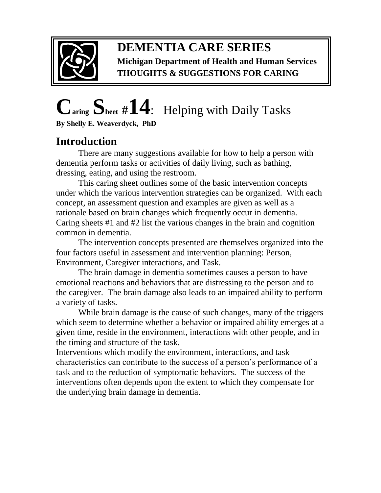

#### **DEMENTIA CARE SERIES Michigan Department of Health and Human Services THOUGHTS & SUGGESTIONS FOR CARING**

# **Caring Sheet #14**:Helping with Daily Tasks

**By Shelly E. Weaverdyck, PhD**

## **Introduction**

 There are many suggestions available for how to help a person with dementia perform tasks or activities of daily living, such as bathing, dressing, eating, and using the restroom.

This caring sheet outlines some of the basic intervention concepts under which the various intervention strategies can be organized. With each concept, an assessment question and examples are given as well as a rationale based on brain changes which frequently occur in dementia. Caring sheets #1 and #2 list the various changes in the brain and cognition common in dementia.

The intervention concepts presented are themselves organized into the four factors useful in assessment and intervention planning: Person, Environment, Caregiver interactions, and Task.

The brain damage in dementia sometimes causes a person to have emotional reactions and behaviors that are distressing to the person and to the caregiver. The brain damage also leads to an impaired ability to perform a variety of tasks.

While brain damage is the cause of such changes, many of the triggers which seem to determine whether a behavior or impaired ability emerges at a given time, reside in the environment, interactions with other people, and in the timing and structure of the task.

Interventions which modify the environment, interactions, and task characteristics can contribute to the success of a person's performance of a task and to the reduction of symptomatic behaviors. The success of the interventions often depends upon the extent to which they compensate for the underlying brain damage in dementia.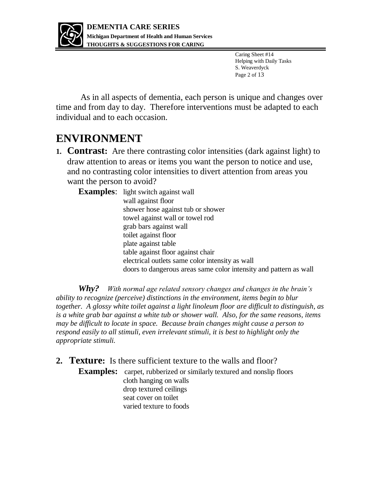

Caring Sheet #14 Helping with Daily Tasks S. Weaverdyck Page 2 of 13

As in all aspects of dementia, each person is unique and changes over time and from day to day. Therefore interventions must be adapted to each individual and to each occasion.

### **ENVIRONMENT**

**1. Contrast:** Are there contrasting color intensities (dark against light) to draw attention to areas or items you want the person to notice and use, and no contrasting color intensities to divert attention from areas you want the person to avoid?

**Examples:** light switch against wall wall against floor shower hose against tub or shower towel against wall or towel rod grab bars against wall toilet against floor plate against table table against floor against chair electrical outlets same color intensity as wall doors to dangerous areas same color intensity and pattern as wall

*Why? With normal age related sensory changes and changes in the brain's ability to recognize (perceive) distinctions in the environment, items begin to blur together. A glossy white toilet against a light linoleum floor are difficult to distinguish, as is a white grab bar against a white tub or shower wall. Also, for the same reasons, items may be difficult to locate in space. Because brain changes might cause a person to respond easily to all stimuli, even irrelevant stimuli, it is best to highlight only the appropriate stimuli.* 

**2. Texture:** Is there sufficient texture to the walls and floor?

**Examples:** carpet, rubberized or similarly textured and nonslip floors cloth hanging on walls drop textured ceilings seat cover on toilet varied texture to foods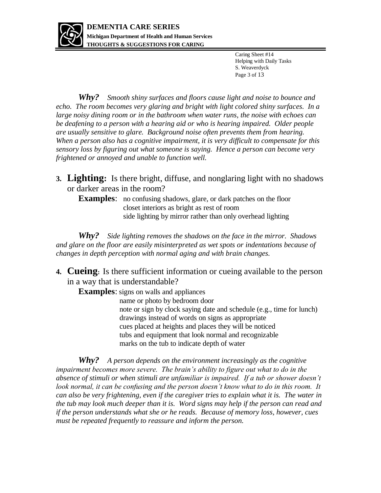

Caring Sheet #14 Helping with Daily Tasks S. Weaverdyck Page 3 of 13

*Why? Smooth shiny surfaces and floors cause light and noise to bounce and echo. The room becomes very glaring and bright with light colored shiny surfaces. In a large noisy dining room or in the bathroom when water runs, the noise with echoes can be deafening to a person with a hearing aid or who is hearing impaired. Older people are usually sensitive to glare. Background noise often prevents them from hearing. When a person also has a cognitive impairment, it is very difficult to compensate for this sensory loss by figuring out what someone is saying. Hence a person can become very frightened or annoyed and unable to function well.* 

**3. Lighting:** Is there bright, diffuse, and nonglaring light with no shadows or darker areas in the room?

**Examples**: no confusing shadows, glare, or dark patches on the floor closet interiors as bright as rest of room side lighting by mirror rather than only overhead lighting

*Why? Side lighting removes the shadows on the face in the mirror. Shadows and glare on the floor are easily misinterpreted as wet spots or indentations because of changes in depth perception with normal aging and with brain changes.* 

**4. Cueing:** Is there sufficient information or cueing available to the person in a way that is understandable?

**Examples**: signs on walls and appliances

 name or photo by bedroom door note or sign by clock saying date and schedule (e.g., time for lunch) drawings instead of words on signs as appropriate cues placed at heights and places they will be noticed tubs and equipment that look normal and recognizable marks on the tub to indicate depth of water

*Why? A person depends on the environment increasingly as the cognitive impairment becomes more severe. The brain's ability to figure out what to do in the absence of stimuli or when stimuli are unfamiliar is impaired. If a tub or shower doesn't* look normal, it can be confusing and the person doesn't know what to do in this room. It *can also be very frightening, even if the caregiver tries to explain what it is. The water in the tub may look much deeper than it is. Word signs may help if the person can read and if the person understands what she or he reads. Because of memory loss, however, cues must be repeated frequently to reassure and inform the person.*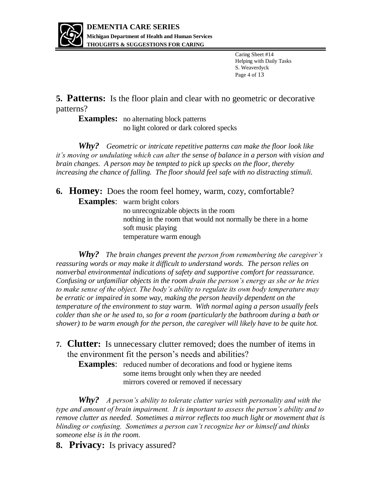

Caring Sheet #14 Helping with Daily Tasks S. Weaverdyck Page 4 of 13

**5. Patterns:** Is the floor plain and clear with no geometric or decorative patterns?

**Examples:** no alternating block patterns no light colored or dark colored specks

*Why? Geometric or intricate repetitive patterns can make the floor look like it's moving or undulating which can alter the sense of balance in a person with vision and brain changes. A person may be tempted to pick up specks on the floor, thereby increasing the chance of falling. The floor should feel safe with no distracting stimuli.* 

**6. Homey:** Does the room feel homey, warm, cozy, comfortable?

**Examples**: warm bright colors

 no unrecognizable objects in the room nothing in the room that would not normally be there in a home soft music playing temperature warm enough

*Why? The brain changes prevent the person from remembering the caregiver's reassuring words or may make it difficult to understand words. The person relies on nonverbal environmental indications of safety and supportive comfort for reassurance. Confusing or unfamiliar objects in the room drain the person's energy as she or he tries to make sense of the object. The body's ability to regulate its own body temperature may be erratic or impaired in some way, making the person heavily dependent on the temperature of the environment to stay warm. With normal aging a person usually feels colder than she or he used to, so for a room (particularly the bathroom during a bath or shower) to be warm enough for the person, the caregiver will likely have to be quite hot.*

**7. Clutter:** Is unnecessary clutter removed; does the number of items in the environment fit the person's needs and abilities?

**Examples:** reduced number of decorations and food or hygiene items some items brought only when they are needed mirrors covered or removed if necessary

*Why? A person's ability to tolerate clutter varies with personality and with the type and amount of brain impairment. It is important to assess the person's ability and to remove clutter as needed. Sometimes a mirror reflects too much light or movement that is blinding or confusing. Sometimes a person can't recognize her or himself and thinks someone else is in the room.* 

**8. Privacy:** Is privacy assured?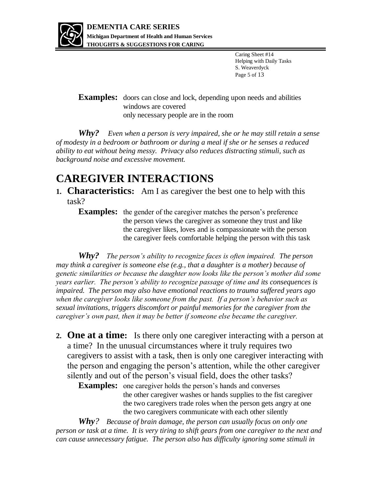

Caring Sheet #14 Helping with Daily Tasks S. Weaverdyck Page 5 of 13

**Examples:** doors can close and lock, depending upon needs and abilities windows are covered only necessary people are in the room

*Why? Even when a person is very impaired, she or he may still retain a sense of modesty in a bedroom or bathroom or during a meal if she or he senses a reduced ability to eat without being messy. Privacy also reduces distracting stimuli, such as background noise and excessive movement.* 

#### **CAREGIVER INTERACTIONS**

**1. Characteristics:** Am I as caregiver the best one to help with this task?

**Examples:** the gender of the caregiver matches the person's preference the person views the caregiver as someone they trust and like the caregiver likes, loves and is compassionate with the person the caregiver feels comfortable helping the person with this task

*Why? The person's ability to recognize faces is often impaired. The person may think a caregiver is someone else (e.g., that a daughter is a mother) because of genetic similarities or because the daughter now looks like the person's mother did some years earlier. The person's ability to recognize passage of time and its consequences is impaired. The person may also have emotional reactions to trauma suffered years ago when the caregiver looks like someone from the past. If a person's behavior such as sexual invitations, triggers discomfort or painful memories for the caregiver from the caregiver's own past, then it may be better if someone else became the caregiver.*

**2. One at a time:** Is there only one caregiver interacting with a person at a time? In the unusual circumstances where it truly requires two caregivers to assist with a task, then is only one caregiver interacting with the person and engaging the person's attention, while the other caregiver silently and out of the person's visual field, does the other tasks?

**Examples:** one caregiver holds the person's hands and converses the other caregiver washes or hands supplies to the fist caregiver the two caregivers trade roles when the person gets angry at one the two caregivers communicate with each other silently

*Why? Because of brain damage, the person can usually focus on only one person or task at a time. It is very tiring to shift gears from one caregiver to the next and can cause unnecessary fatigue. The person also has difficulty ignoring some stimuli in*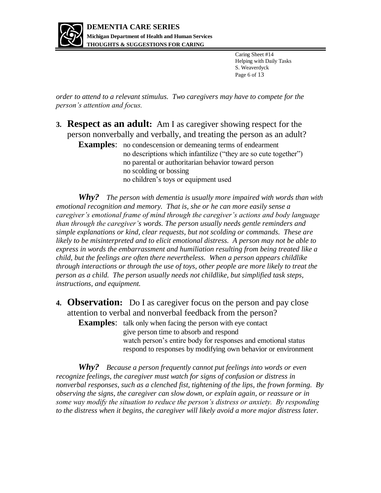

Caring Sheet #14 Helping with Daily Tasks S. Weaverdyck Page 6 of 13

*order to attend to a relevant stimulus. Two caregivers may have to compete for the person's attention and focus.*

- **3. Respect as an adult:** Am I as caregiver showing respect for the person nonverbally and verbally, and treating the person as an adult?
	- **Examples:** no condescension or demeaning terms of endearment no descriptions which infantilize ("they are so cute together") no parental or authoritarian behavior toward person no scolding or bossing no children's toys or equipment used

*Why? The person with dementia is usually more impaired with words than with emotional recognition and memory. That is, she or he can more easily sense a caregiver's emotional frame of mind through the caregiver's actions and body language than through the caregiver's words. The person usually needs gentle reminders and simple explanations or kind, clear requests, but not scolding or commands. These are likely to be misinterpreted and to elicit emotional distress. A person may not be able to express in words the embarrassment and humiliation resulting from being treated like a child, but the feelings are often there nevertheless. When a person appears childlike through interactions or through the use of toys, other people are more likely to treat the person as a child. The person usually needs not childlike, but simplified task steps, instructions, and equipment.* 

**4. Observation:** Do I as caregiver focus on the person and pay close attention to verbal and nonverbal feedback from the person?

**Examples:** talk only when facing the person with eye contact give person time to absorb and respond watch person's entire body for responses and emotional status respond to responses by modifying own behavior or environment

*Why? Because a person frequently cannot put feelings into words or even recognize feelings, the caregiver must watch for signs of confusion or distress in nonverbal responses, such as a clenched fist, tightening of the lips, the frown forming. By observing the signs, the caregiver can slow down, or explain again, or reassure or in some way modify the situation to reduce the person's distress or anxiety. By responding*  to the distress when it begins, the caregiver will likely avoid a more major distress later.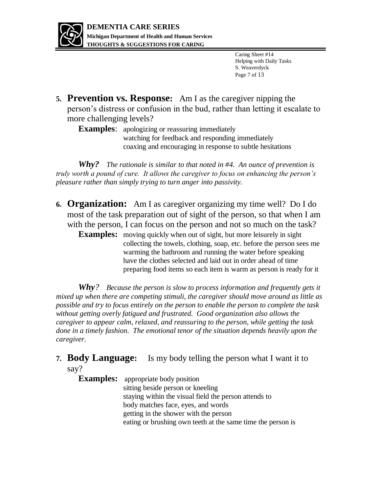

Caring Sheet #14 Helping with Daily Tasks S. Weaverdyck Page 7 of 13

**5. Prevention vs. Response:** Am I as the caregiver nipping the person's distress or confusion in the bud, rather than letting it escalate to more challenging levels?

**Examples**: apologizing or reassuring immediately watching for feedback and responding immediately coaxing and encouraging in response to subtle hesitations

*Why? The rationale is similar to that noted in #4. An ounce of prevention is truly worth a pound of cure. It allows the caregiver to focus on enhancing the person's pleasure rather than simply trying to turn anger into passivity.*

- **6. Organization:** Am I as caregiver organizing my time well? Do I do most of the task preparation out of sight of the person, so that when I am with the person, I can focus on the person and not so much on the task?
	- **Examples:** moving quickly when out of sight, but more leisurely in sight collecting the towels, clothing, soap, etc. before the person sees me warming the bathroom and running the water before speaking have the clothes selected and laid out in order ahead of time preparing food items so each item is warm as person is ready for it

*Why? Because the person is slow to process information and frequently gets it mixed up when there are competing stimuli, the caregiver should move around as little as possible and try to focus entirely on the person to enable the person to complete the task without getting overly fatigued and frustrated. Good organization also allows the caregiver to appear calm, relaxed, and reassuring to the person, while getting the task*  done in a timely fashion. The emotional tenor of the situation depends heavily upon the *caregiver.* 

**7. Body Language:** Is my body telling the person what I want it to say?

**Examples:** appropriate body position sitting beside person or kneeling staying within the visual field the person attends to body matches face, eyes, and words getting in the shower with the person eating or brushing own teeth at the same time the person is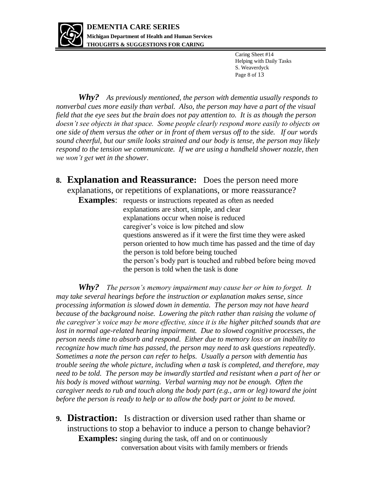

Caring Sheet #14 Helping with Daily Tasks S. Weaverdyck Page 8 of 13

*Why? As previously mentioned, the person with dementia usually responds to nonverbal cues more easily than verbal. Also, the person may have a part of the visual field that the eye sees but the brain does not pay attention to. It is as though the person doesn't see objects in that space. Some people clearly respond more easily to objects on one side of them versus the other or in front of them versus off to the side. If our words sound cheerful, but our smile looks strained and our body is tense, the person may likely respond to the tension we communicate. If we are using a handheld shower nozzle, then we won't get wet in the shower.*

- **8. Explanation and Reassurance:** Does the person need more explanations, or repetitions of explanations, or more reassurance?
	- **Examples:** requests or instructions repeated as often as needed explanations are short, simple, and clear explanations occur when noise is reduced caregiver's voice is low pitched and slow questions answered as if it were the first time they were asked person oriented to how much time has passed and the time of day the person is told before being touched the person's body part is touched and rubbed before being moved the person is told when the task is done

*Why? The person's memory impairment may cause her or him to forget. It may take several hearings before the instruction or explanation makes sense, since processing information is slowed down in dementia. The person may not have heard because of the background noise. Lowering the pitch rather than raising the volume of the caregiver's voice may be more effective, since it is the higher pitched sounds that are*  lost in normal age-related hearing impairment. Due to slowed cognitive processes, the *person needs time to absorb and respond. Either due to memory loss or an inability to recognize how much time has passed, the person may need to ask questions repeatedly. Sometimes a note the person can refer to helps. Usually a person with dementia has trouble seeing the whole picture, including when a task is completed, and therefore, may need to be told. The person may be inwardly startled and resistant when a part of her or his body is moved without warning. Verbal warning may not be enough. Often the caregiver needs to rub and touch along the body part (e.g., arm or leg) toward the joint before the person is ready to help or to allow the body part or joint to be moved.* 

**9. Distraction:** Is distraction or diversion used rather than shame or instructions to stop a behavior to induce a person to change behavior? **Examples:** singing during the task, off and on or continuously conversation about visits with family members or friends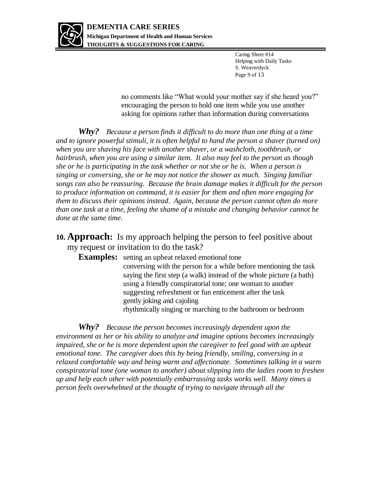

Caring Sheet #14 Helping with Daily Tasks S. Weaverdyck Page 9 of 13

 no comments like "What would your mother say if she heard you?" encouraging the person to hold one item while you use another asking for opinions rather than information during conversations

*Why? Because a person finds it difficult to do more than one thing at a time and to ignore powerful stimuli, it is often helpful to hand the person a shaver (turned on) when you are shaving his face with another shaver, or a washcloth, toothbrush, or hairbrush, when you are using a similar item. It also may feel to the person as though she or he is participating in the task whether or not she or he is. When a person is singing or conversing, she or he may not notice the shower as much. Singing familiar songs can also be reassuring. Because the brain damage makes it difficult for the person to produce information on command, it is easier for them and often more engaging for them to discuss their opinions instead. Again, because the person cannot often do more than one task at a time, feeling the shame of a mistake and changing behavior cannot be done at the same time.* 

**10. Approach:** Is my approach helping the person to feel positive about my request or invitation to do the task?

**Examples:** setting an upbeat relaxed emotional tone conversing with the person for a while before mentioning the task saying the first step (a walk) instead of the whole picture (a bath) using a friendly conspiratorial tone; one woman to another suggesting refreshment or fun enticement after the task gently joking and cajoling rhythmically singing or marching to the bathroom or bedroom

*Why? Because the person becomes increasingly dependent upon the environment as her or his ability to analyze and imagine options becomes increasingly impaired, she or he is more dependent upon the caregiver to feel good with an upbeat emotional tone. The caregiver does this by being friendly, smiling, conversing in a relaxed comfortable way and being warm and affectionate. Sometimes talking in a warm conspiratorial tone (one woman to another) about slipping into the ladies room to freshen up and help each other with potentially embarrassing tasks works well. Many times a person feels overwhelmed at the thought of trying to navigate through all the*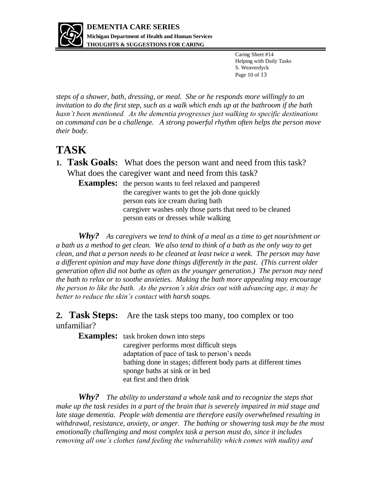

Caring Sheet #14 Helping with Daily Tasks S. Weaverdyck Page 10 of 13

*steps of a shower, bath, dressing, or meal. She or he responds more willingly to an invitation to do the first step, such as a walk which ends up at the bathroom if the bath hasn't been mentioned. As the dementia progresses just walking to specific destinations on command can be a challenge. A strong powerful rhythm often helps the person move their body.* 

#### **TASK**

**1. Task Goals:** What does the person want and need from this task? What does the caregiver want and need from this task?

**Examples:** the person wants to feel relaxed and pampered the caregiver wants to get the job done quickly person eats ice cream during bath caregiver washes only those parts that need to be cleaned person eats or dresses while walking

*Why? As caregivers we tend to think of a meal as a time to get nourishment or a bath as a method to get clean. We also tend to think of a bath as the only way to get clean, and that a person needs to be cleaned at least twice a week. The person may have a different opinion and may have done things differently in the past. (This current older generation often did not bathe as often as the younger generation.) The person may need the bath to relax or to soothe anxieties. Making the bath more appealing may encourage the person to like the bath. As the person's skin dries out with advancing age, it may be better to reduce the skin's contact with harsh soaps.*

#### **2. Task Steps:** Are the task steps too many, too complex or too unfamiliar?

**Examples:** task broken down into steps caregiver performs most difficult steps adaptation of pace of task to person's needs bathing done in stages; different body parts at different times sponge baths at sink or in bed eat first and then drink

*Why? The ability to understand a whole task and to recognize the steps that make up the task resides in a part of the brain that is severely impaired in mid stage and late stage dementia. People with dementia are therefore easily overwhelmed resulting in withdrawal, resistance, anxiety, or anger. The bathing or showering task may be the most emotionally challenging and most complex task a person must do, since it includes removing all one's clothes (and feeling the vulnerability which comes with nudity) and*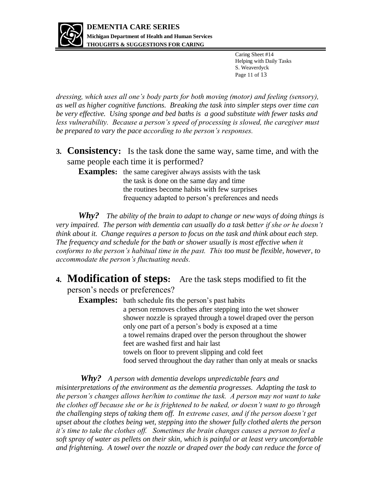

Caring Sheet #14 Helping with Daily Tasks S. Weaverdyck Page 11 of 13

*dressing, which uses all one's body parts for both moving (motor) and feeling (sensory), as well as higher cognitive functions. Breaking the task into simpler steps over time can be very effective. Using sponge and bed baths is a good substitute with fewer tasks and*  less vulnerability. Because a person's speed of processing is slowed, the caregiver must *be prepared to vary the pace according to the person's responses.*

**3. Consistency:** Is the task done the same way, same time, and with the same people each time it is performed?

**Examples:** the same caregiver always assists with the task the task is done on the same day and time the routines become habits with few surprises frequency adapted to person's preferences and needs

*Why? The ability of the brain to adapt to change or new ways of doing things is very impaired. The person with dementia can usually do a task better if she or he doesn't think about it. Change requires a person to focus on the task and think about each step. The frequency and schedule for the bath or shower usually is most effective when it conforms to the person's habitual time in the past. This too must be flexible, however, to accommodate the person's fluctuating needs.*

**4. Modification of steps:** Are the task steps modified to fit the person's needs or preferences?

**Examples:** bath schedule fits the person's past habits a person removes clothes after stepping into the wet shower shower nozzle is sprayed through a towel draped over the person only one part of a person's body is exposed at a time a towel remains draped over the person throughout the shower feet are washed first and hair last towels on floor to prevent slipping and cold feet food served throughout the day rather than only at meals or snacks

*Why? A person with dementia develops unpredictable fears and misinterpretations of the environment as the dementia progresses. Adapting the task to the person's changes allows her/him to continue the task. A person may not want to take the clothes off because she or he is frightened to be naked, or doesn't want to go through the challenging steps of taking them off. In extreme cases, and if the person doesn't get upset about the clothes being wet, stepping into the shower fully clothed alerts the person it's time to take the clothes off. Sometimes the brain changes causes a person to feel a soft spray of water as pellets on their skin, which is painful or at least very uncomfortable and frightening. A towel over the nozzle or draped over the body can reduce the force of*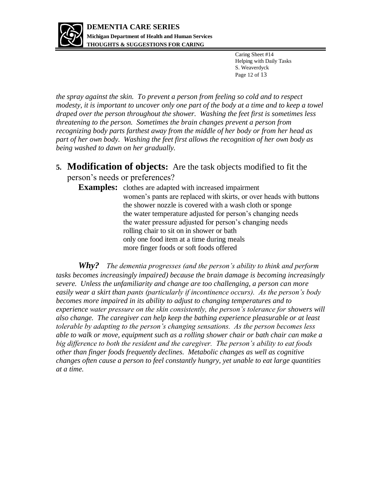

Caring Sheet #14 Helping with Daily Tasks S. Weaverdyck Page 12 of 13

*the spray against the skin. To prevent a person from feeling so cold and to respect modesty, it is important to uncover only one part of the body at a time and to keep a towel draped over the person throughout the shower. Washing the feet first is sometimes less threatening to the person. Sometimes the brain changes prevent a person from recognizing body parts farthest away from the middle of her body or from her head as part of her own body. Washing the feet first allows the recognition of her own body as being washed to dawn on her gradually.*

**5. Modification of objects:** Are the task objects modified to fit the person's needs or preferences?

**Examples:** clothes are adapted with increased impairment women's pants are replaced with skirts, or over heads with buttons the shower nozzle is covered with a wash cloth or sponge the water temperature adjusted for person's changing needs the water pressure adjusted for person's changing needs rolling chair to sit on in shower or bath only one food item at a time during meals more finger foods or soft foods offered

*Why? The dementia progresses (and the person's ability to think and perform tasks becomes increasingly impaired) because the brain damage is becoming increasingly severe. Unless the unfamiliarity and change are too challenging, a person can more easily wear a skirt than pants (particularly if incontinence occurs). As the person's body becomes more impaired in its ability to adjust to changing temperatures and to experience water pressure on the skin consistently, the person's tolerance for showers will also change. The caregiver can help keep the bathing experience pleasurable or at least tolerable by adapting to the person's changing sensations. As the person becomes less able to walk or move, equipment such as a rolling shower chair or bath chair can make a big difference to both the resident and the caregiver. The person's ability to eat foods other than finger foods frequently declines. Metabolic changes as well as cognitive changes often cause a person to feel constantly hungry, yet unable to eat large quantities at a time.*